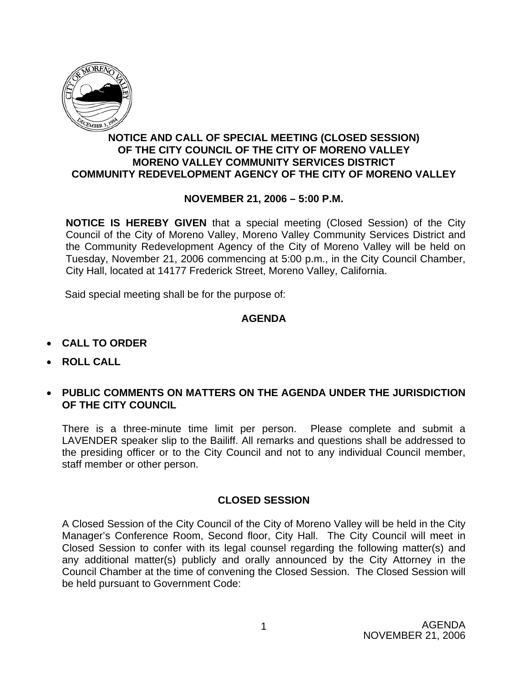

## **NOTICE AND CALL OF SPECIAL MEETING (CLOSED SESSION) OF THE CITY COUNCIL OF THE CITY OF MORENO VALLEY MORENO VALLEY COMMUNITY SERVICES DISTRICT COMMUNITY REDEVELOPMENT AGENCY OF THE CITY OF MORENO VALLEY**

## **NOVEMBER 21, 2006 – 5:00 P.M.**

**NOTICE IS HEREBY GIVEN** that a special meeting (Closed Session) of the City Council of the City of Moreno Valley, Moreno Valley Community Services District and the Community Redevelopment Agency of the City of Moreno Valley will be held on Tuesday, November 21, 2006 commencing at 5:00 p.m., in the City Council Chamber, City Hall, located at 14177 Frederick Street, Moreno Valley, California.

Said special meeting shall be for the purpose of:

## **AGENDA**

- **CALL TO ORDER**
- **ROLL CALL**
- **PUBLIC COMMENTS ON MATTERS ON THE AGENDA UNDER THE JURISDICTION OF THE CITY COUNCIL**

There is a three-minute time limit per person. Please complete and submit a LAVENDER speaker slip to the Bailiff. All remarks and questions shall be addressed to the presiding officer or to the City Council and not to any individual Council member, staff member or other person.

## **CLOSED SESSION**

A Closed Session of the City Council of the City of Moreno Valley will be held in the City Manager's Conference Room, Second floor, City Hall. The City Council will meet in Closed Session to confer with its legal counsel regarding the following matter(s) and any additional matter(s) publicly and orally announced by the City Attorney in the Council Chamber at the time of convening the Closed Session. The Closed Session will be held pursuant to Government Code: